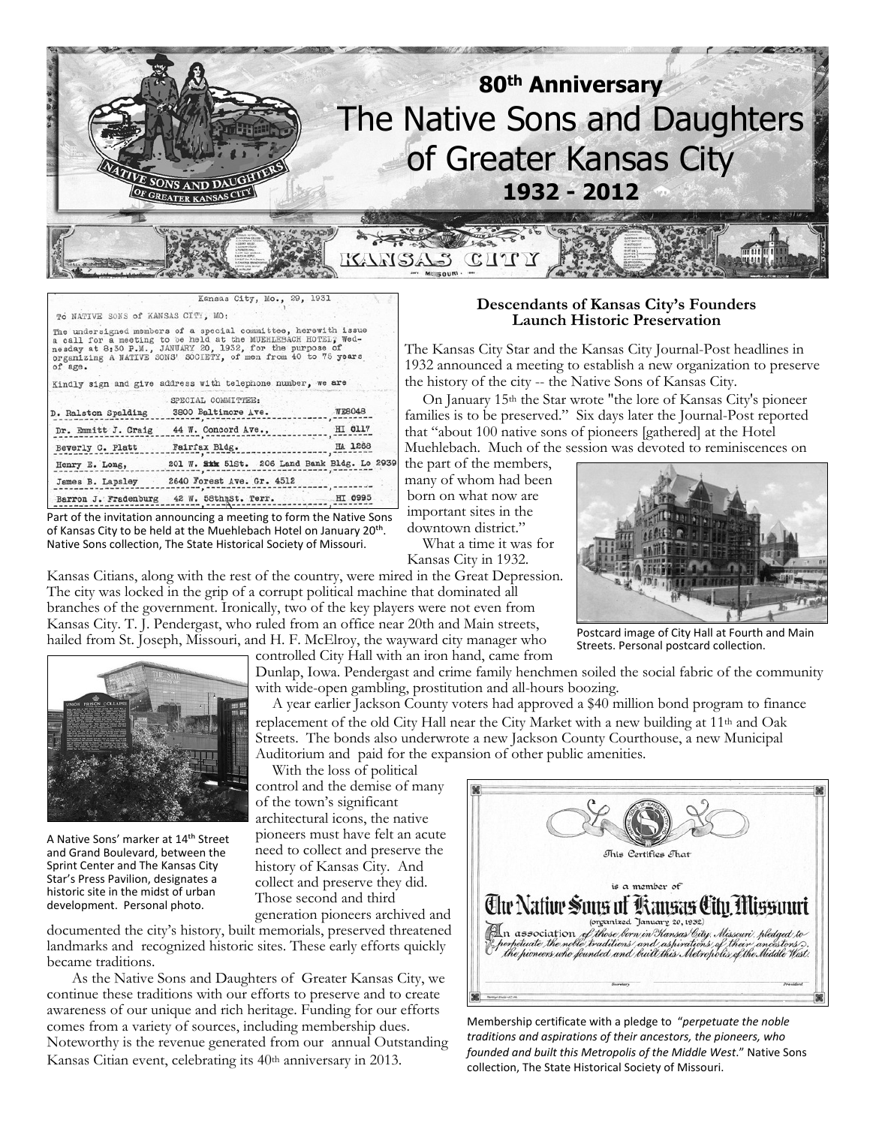

| TO NATIVE SONS of KANSAS CITY, MO: |                                                                                                                                                                                                                                                               |               |
|------------------------------------|---------------------------------------------------------------------------------------------------------------------------------------------------------------------------------------------------------------------------------------------------------------|---------------|
| of age.                            | The undersigned members of a special committee, herewith issue<br>a call for a meeting to be held at the MUEHLEBACH HOTEL? Wed-<br>nesday at 8:30 P.M., JANUARY 20, 1932, for the purpose of<br>organizing A NATIVE SONS' SOCIETY, of men from 40 to 75 years |               |
|                                    | Kindly sign and give address with telephone number, we are                                                                                                                                                                                                    |               |
|                                    | SPECIAL COMMITTEE:                                                                                                                                                                                                                                            |               |
| D. Ralston Spalding                | 3800 Baltimore Ave.                                                                                                                                                                                                                                           | <b>WE8048</b> |
|                                    | Dr. Emmitt J. Craig 44 W. Concord Ave.,                                                                                                                                                                                                                       | HI 0117       |
| Beverly C. Platt                   | Fairfax Bldg.                                                                                                                                                                                                                                                 | HA 1268       |
| Henry E. Long,                     | 201 W. Sikk 51St. 206 Land Bank Bldg. Lo 2939                                                                                                                                                                                                                 |               |
| James B. Lapsley                   | 2640 Forest Ave. Gr. 4512                                                                                                                                                                                                                                     |               |
|                                    | Barron J. Fradenburg 42 W. 58thmSt. Terr.                                                                                                                                                                                                                     | HT 0995       |

Part of the invitation announcing a meeting to form the Native Sons of Kansas City to be held at the Muehlebach Hotel on January 20<sup>th</sup>. Native Sons collection, The State Historical Society of Missouri.

Kansas Citians, along with the rest of the country, were mired in the Great Depression. The city was locked in the grip of a corrupt political machine that dominated all branches of the government. Ironically, two of the key players were not even from Kansas City. T. J. Pendergast, who ruled from an office near 20th and Main streets, hailed from St. Joseph, Missouri, and H. F. McElroy, the wayward city manager who



Dunlap, Iowa. Pendergast and crime family henchmen soiled the social fabric of the community with wide-open gambling, prostitution and all-hours boozing.

 A year earlier Jackson County voters had approved a \$40 million bond program to finance replacement of the old City Hall near the City Market with a new building at  $11<sup>th</sup>$  and Oak Streets. The bonds also underwrote a new Jackson County Courthouse, a new Municipal Auditorium and paid for the expansion of other public amenities.

 With the loss of political control and the demise of many of the town's significant architectural icons, the native pioneers must have felt an acute need to collect and preserve the history of Kansas City. And collect and preserve they did. Those second and third

generation pioneers archived and documented the city's history, built memorials, preserved threatened landmarks and recognized historic sites. These early efforts quickly became traditions.

 As the Native Sons and Daughters of Greater Kansas City, we continue these traditions with our efforts to preserve and to create awareness of our unique and rich heritage. Funding for our efforts comes from a variety of sources, including membership dues. Noteworthy is the revenue generated from our annual Outstanding Kansas Citian event, celebrating its 40th anniversary in 2013.

#### **Descendants of Kansas City's Founders Launch Historic Preservation**

The Kansas City Star and the Kansas City Journal-Post headlines in 1932 announced a meeting to establish a new organization to preserve the history of the city -- the Native Sons of Kansas City.

 On January 15th the Star wrote "the lore of Kansas City's pioneer families is to be preserved." Six days later the Journal-Post reported that "about 100 native sons of pioneers [gathered] at the Hotel Muehlebach. Much of the session was devoted to reminiscences on

the part of the members, many of whom had been born on what now are important sites in the downtown district."

 What a time it was for Kansas City in 1932.



Postcard image of City Hall at Fourth and Main Streets. Personal postcard collection.

This Certifies That is a member of

The Native Sous of Kansas City Missouri (organized January 20, 1932) (Dan association of those been in Kansas City, Missouri, pledged to<br>Eperpetuate the noble traditions, and aspirations of their ancestors ).<br>In the pioneers who founded and built this Metropolis of the Middle West.

Membership certificate with a pledge to "*perpetuate the noble traditions and aspirations of their ancestors, the pioneers, who founded and built this Metropolis of the Middle West*." Native Sons collection, The State Historical Society of Missouri.





A Native Sons' marker at 14<sup>th</sup> Street and Grand Boulevard, between the Sprint Center and The Kansas City Star's Press Pavilion, designates a historic site in the midst of urban development. Personal photo.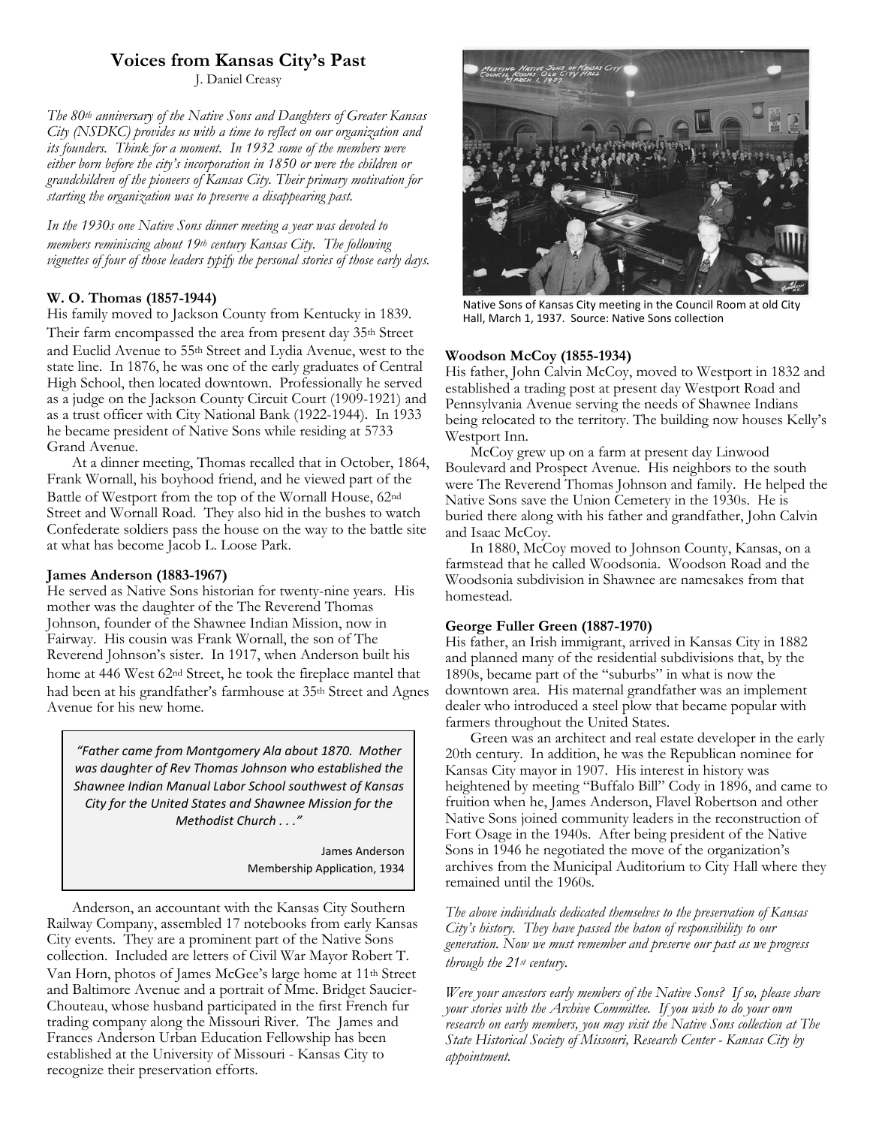## **Voices from Kansas City's Past**

J. Daniel Creasy

*The 80th anniversary of the Native Sons and Daughters of Greater Kansas City (NSDKC) provides us with a time to reflect on our organization and its founders. Think for a moment. In 1932 some of the members were either born before the city's incorporation in 1850 or were the children or grandchildren of the pioneers of Kansas City. Their primary motivation for starting the organization was to preserve a disappearing past.*

*In the 1930s one Native Sons dinner meeting a year was devoted to members reminiscing about 19th century Kansas City. The following vignettes of four of those leaders typify the personal stories of those early days.*

### **W. O. Thomas (1857-1944)**

His family moved to Jackson County from Kentucky in 1839. Their farm encompassed the area from present day 35<sup>th</sup> Street and Euclid Avenue to 55th Street and Lydia Avenue, west to the state line. In 1876, he was one of the early graduates of Central High School, then located downtown. Professionally he served as a judge on the Jackson County Circuit Court (1909-1921) and as a trust officer with City National Bank (1922-1944). In 1933 he became president of Native Sons while residing at 5733 Grand Avenue.

 At a dinner meeting, Thomas recalled that in October, 1864, Frank Wornall, his boyhood friend, and he viewed part of the Battle of Westport from the top of the Wornall House, 62nd Street and Wornall Road. They also hid in the bushes to watch Confederate soldiers pass the house on the way to the battle site at what has become Jacob L. Loose Park.

### **James Anderson (1883-1967)**

He served as Native Sons historian for twenty-nine years. His mother was the daughter of the The Reverend Thomas Johnson, founder of the Shawnee Indian Mission, now in Fairway. His cousin was Frank Wornall, the son of The Reverend Johnson's sister. In 1917, when Anderson built his home at 446 West 62nd Street, he took the fireplace mantel that had been at his grandfather's farmhouse at 35th Street and Agnes Avenue for his new home.

*"Father came from Montgomery Ala about 1870. Mother was daughter of Rev Thomas Johnson who established the Shawnee Indian Manual Labor School southwest of Kansas City for the United States and Shawnee Mission for the Methodist Church . . ."*

> James Anderson Membership Application, 1934

Anderson, an accountant with the Kansas City Southern Railway Company, assembled 17 notebooks from early Kansas City events. They are a prominent part of the Native Sons collection. Included are letters of Civil War Mayor Robert T. Van Horn, photos of James McGee's large home at 11th Street and Baltimore Avenue and a portrait of Mme. Bridget Saucier-Chouteau, whose husband participated in the first French fur trading company along the Missouri River. The James and Frances Anderson Urban Education Fellowship has been established at the University of Missouri - Kansas City to recognize their preservation efforts.



Native Sons of Kansas City meeting in the Council Room at old City Hall, March 1, 1937. Source: Native Sons collection

#### **Woodson McCoy (1855-1934)**

His father, John Calvin McCoy, moved to Westport in 1832 and established a trading post at present day Westport Road and Pennsylvania Avenue serving the needs of Shawnee Indians being relocated to the territory. The building now houses Kelly's Westport Inn.

 McCoy grew up on a farm at present day Linwood Boulevard and Prospect Avenue. His neighbors to the south were The Reverend Thomas Johnson and family. He helped the Native Sons save the Union Cemetery in the 1930s. He is buried there along with his father and grandfather, John Calvin and Isaac McCoy.

 In 1880, McCoy moved to Johnson County, Kansas, on a farmstead that he called Woodsonia. Woodson Road and the Woodsonia subdivision in Shawnee are namesakes from that homestead.

### **George Fuller Green (1887-1970)**

His father, an Irish immigrant, arrived in Kansas City in 1882 and planned many of the residential subdivisions that, by the 1890s, became part of the "suburbs" in what is now the downtown area. His maternal grandfather was an implement dealer who introduced a steel plow that became popular with farmers throughout the United States.

 Green was an architect and real estate developer in the early 20th century. In addition, he was the Republican nominee for Kansas City mayor in 1907. His interest in history was heightened by meeting "Buffalo Bill" Cody in 1896, and came to fruition when he, James Anderson, Flavel Robertson and other Native Sons joined community leaders in the reconstruction of Fort Osage in the 1940s. After being president of the Native Sons in 1946 he negotiated the move of the organization's archives from the Municipal Auditorium to City Hall where they remained until the 1960s.

*The above individuals dedicated themselves to the preservation of Kansas City's history. They have passed the baton of responsibility to our generation. Now we must remember and preserve our past as we progress through the 21st century.*

*Were your ancestors early members of the Native Sons? If so, please share your stories with the Archive Committee. If you wish to do your own research on early members, you may visit the Native Sons collection at The State Historical Society of Missouri, Research Center - Kansas City by appointment.*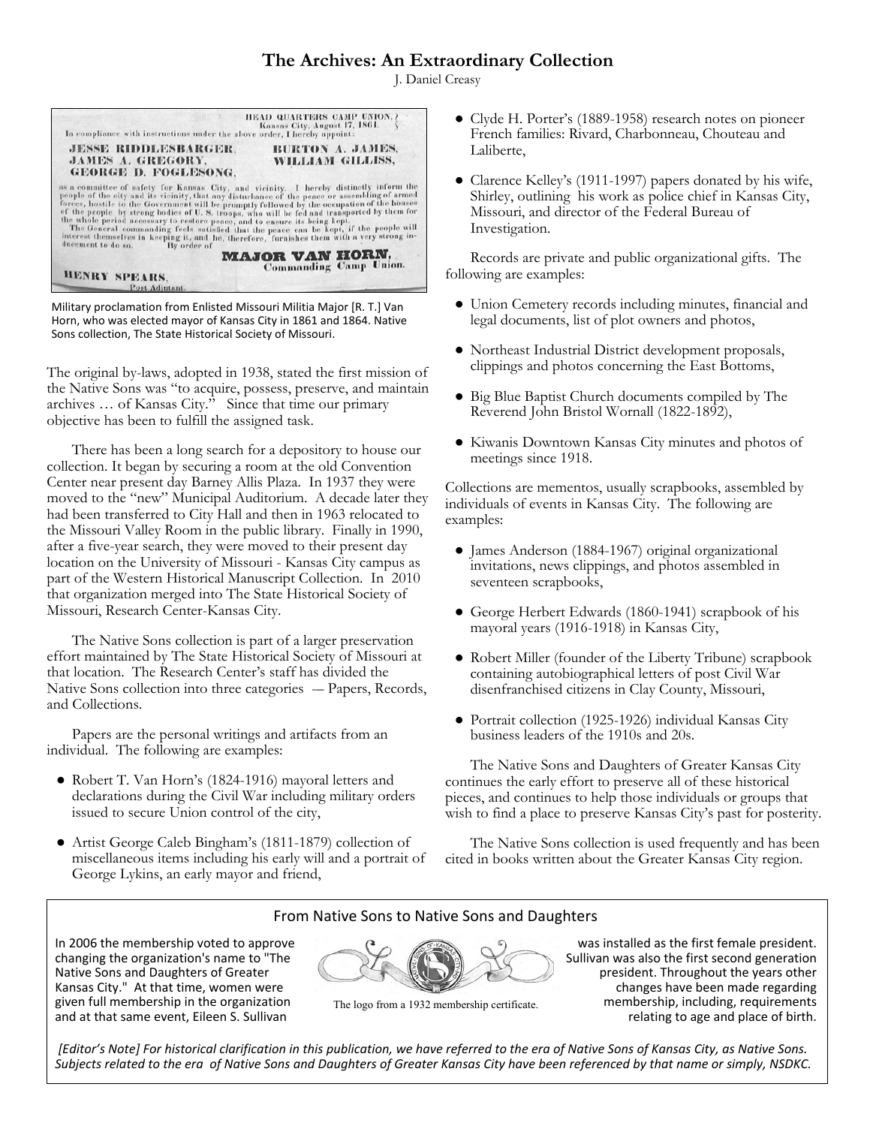# **The Archives: An Extraordinary Collection**

J. Daniel Creasy



Military proclamation from Enlisted Missouri Militia Major [R. T.] Van Horn, who was elected mayor of Kansas City in 1861 and 1864. Native Sons collection, The State Historical Society of Missouri.

The original by-laws, adopted in 1938, stated the first mission of the Native Sons was "to acquire, possess, preserve, and maintain archives … of Kansas City." Since that time our primary objective has been to fulfill the assigned task.

There has been a long search for a depository to house our collection. It began by securing a room at the old Convention Center near present day Barney Allis Plaza. In 1937 they were moved to the "new" Municipal Auditorium. A decade later they had been transferred to City Hall and then in 1963 relocated to the Missouri Valley Room in the public library. Finally in 1990, after a five-year search, they were moved to their present day location on the University of Missouri - Kansas City campus as part of the Western Historical Manuscript Collection. In 2010 that organization merged into The State Historical Society of Missouri, Research Center-Kansas City.

The Native Sons collection is part of a larger preservation effort maintained by The State Historical Society of Missouri at that location. The Research Center's staff has divided the Native Sons collection into three categories -- Papers, Records, and Collections.

Papers are the personal writings and artifacts from an individual. The following are examples:

- Robert T. Van Horn's (1824-1916) mayoral letters and declarations during the Civil War including military orders issued to secure Union control of the city,
- Artist George Caleb Bingham's (1811-1879) collection of miscellaneous items including his early will and a portrait of George Lykins, an early mayor and friend,
- Clyde H. Porter's (1889-1958) research notes on pioneer French families: Rivard, Charbonneau, Chouteau and Laliberte,
- Clarence Kelley's (1911-1997) papers donated by his wife, Shirley, outlining his work as police chief in Kansas City, Missouri, and director of the Federal Bureau of Investigation.

Records are private and public organizational gifts. The following are examples:

- Union Cemetery records including minutes, financial and legal documents, list of plot owners and photos,
- Northeast Industrial District development proposals, clippings and photos concerning the East Bottoms,
- Big Blue Baptist Church documents compiled by The Reverend John Bristol Wornall (1822-1892),
- Kiwanis Downtown Kansas City minutes and photos of meetings since 1918.

Collections are mementos, usually scrapbooks, assembled by individuals of events in Kansas City. The following are examples:

- James Anderson (1884-1967) original organizational invitations, news clippings, and photos assembled in seventeen scrapbooks,
- George Herbert Edwards (1860-1941) scrapbook of his mayoral years (1916-1918) in Kansas City,
- Robert Miller (founder of the Liberty Tribune) scrapbook containing autobiographical letters of post Civil War disenfranchised citizens in Clay County, Missouri,
- Portrait collection (1925-1926) individual Kansas City business leaders of the 1910s and 20s.

The Native Sons and Daughters of Greater Kansas City continues the early effort to preserve all of these historical pieces, and continues to help those individuals or groups that wish to find a place to preserve Kansas City's past for posterity.

The Native Sons collection is used frequently and has been cited in books written about the Greater Kansas City region.

### From Native Sons to Native Sons and Daughters

In 2006 the membership voted to approve changing the organization's name to "The Native Sons and Daughters of Greater Kansas City." At that time, women were given full membership in the organization and at that same event, Eileen S. Sullivan



The logo from a 1932 membership certificate.

 was installed as the first female president. Sullivan was also the first second generation president. Throughout the years other changes have been made regarding membership, including, requirements relating to age and place of birth.

*[Editor's Note] For historical clarification in this publication, we have referred to the era of Native Sons of Kansas City, as Native Sons. Subjects related to the era of Native Sons and Daughters of Greater Kansas City have been referenced by that name or simply, NSDKC.*